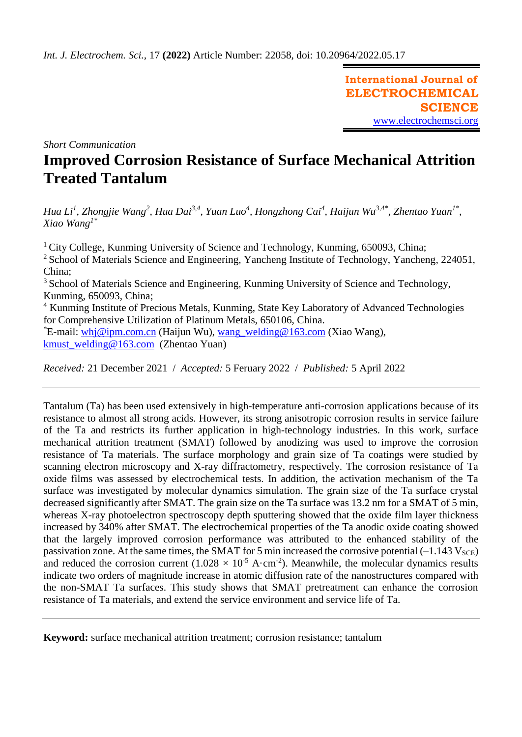**International Journal of ELECTROCHEMICAL SCIENCE** [www.electrochemsci.org](http://www.electrochemsci.org/)

*Short Communication*

# **Improved Corrosion Resistance of Surface Mechanical Attrition Treated Tantalum**

*Hua Li<sup>1</sup>, Zhongjie Wang<sup>2</sup>, Hua Dai<sup>3,4</sup>, Yuan Luo<sup>4</sup>, Hongzhong Cai<sup>4</sup>, Haijun Wu<sup>3,4\*</sup>, Zhentao Yuan<sup>1\*</sup>, Xiao Wang1\**

<sup>1</sup> City College, Kunming University of Science and Technology, Kunming, 650093, China; <sup>2</sup> School of Materials Science and Engineering, Yancheng Institute of Technology, Yancheng, 224051, China; <sup>3</sup> School of Materials Science and Engineering, Kunming University of Science and Technology, Kunming, 650093, China; <sup>4</sup> Kunming Institute of Precious Metals, Kunming, State Key Laboratory of Advanced Technologies for Comprehensive Utilization of Platinum Metals, 650106, China. \*E-mail: [whj@ipm.com.cn](mailto:whj@ipm.com.cn) (Haijun Wu), [wang\\_welding@163.com](mailto:wang_welding@163.com) (Xiao Wang), [kmust\\_welding@163.com](mailto:kmust_welding@163.com) (Zhentao Yuan)

*Received:* 21 December 2021/ *Accepted:* 5 Feruary 2022 / *Published:* 5 April 2022

Tantalum (Ta) has been used extensively in high-temperature anti-corrosion applications because of its resistance to almost all strong acids. However, its strong anisotropic corrosion results in service failure of the Ta and restricts its further application in high-technology industries. In this work, surface mechanical attrition treatment (SMAT) followed by anodizing was used to improve the corrosion resistance of Ta materials. The surface morphology and grain size of Ta coatings were studied by scanning electron microscopy and X-ray diffractometry, respectively. The corrosion resistance of Ta oxide films was assessed by electrochemical tests. In addition, the activation mechanism of the Ta surface was investigated by molecular dynamics simulation. The grain size of the Ta surface crystal decreased significantly after SMAT. The grain size on the Ta surface was 13.2 nm for a SMAT of 5 min, whereas X-ray photoelectron spectroscopy depth sputtering showed that the oxide film layer thickness increased by 340% after SMAT. The electrochemical properties of the Ta anodic oxide coating showed that the largely improved corrosion performance was attributed to the enhanced stability of the passivation zone. At the same times, the SMAT for 5 min increased the corrosive potential  $(-1.143 \text{ V}_{SCE})$ and reduced the corrosion current  $(1.028 \times 10^{-5} \text{ A} \cdot \text{cm}^{-2})$ . Meanwhile, the molecular dynamics results indicate two orders of magnitude increase in atomic diffusion rate of the nanostructures compared with the non-SMAT Ta surfaces. This study shows that SMAT pretreatment can enhance the corrosion resistance of Ta materials, and extend the service environment and service life of Ta.

**Keyword:** surface mechanical attrition treatment; corrosion resistance; tantalum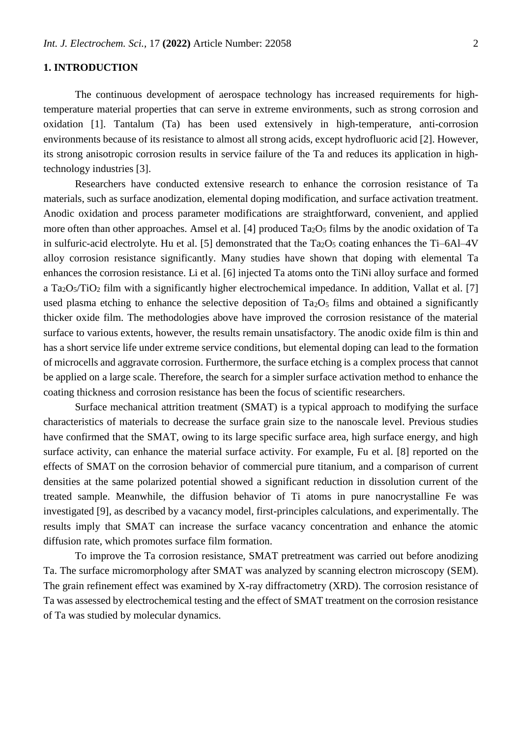# **1. INTRODUCTION**

The continuous development of aerospace technology has increased requirements for hightemperature material properties that can serve in extreme environments, such as strong corrosion and oxidation [1]. Tantalum (Ta) has been used extensively in high-temperature, anti-corrosion environments because of its resistance to almost all strong acids, except hydrofluoric acid [2]. However, its strong anisotropic corrosion results in service failure of the Ta and reduces its application in hightechnology industries [3].

Researchers have conducted extensive research to enhance the corrosion resistance of Ta materials, such as surface anodization, elemental doping modification, and surface activation treatment. Anodic oxidation and process parameter modifications are straightforward, convenient, and applied more often than other approaches. Amsel et al. [4] produced  $Ta_2O_5$  films by the anodic oxidation of Ta in sulfuric-acid electrolyte. Hu et al. [5] demonstrated that the  $Ta_2O_5$  coating enhances the Ti–6Al–4V alloy corrosion resistance significantly. Many studies have shown that doping with elemental Ta enhances the corrosion resistance. Li et al. [6] injected Ta atoms onto the TiNi alloy surface and formed a Ta<sub>2</sub>O<sub>5</sub>/TiO<sub>2</sub> film with a significantly higher electrochemical impedance. In addition, Vallat et al. [7] used plasma etching to enhance the selective deposition of  $Ta_2O_5$  films and obtained a significantly thicker oxide film. The methodologies above have improved the corrosion resistance of the material surface to various extents, however, the results remain unsatisfactory. The anodic oxide film is thin and has a short service life under extreme service conditions, but elemental doping can lead to the formation of microcells and aggravate corrosion. Furthermore, the surface etching is a complex process that cannot be applied on a large scale. Therefore, the search for a simpler surface activation method to enhance the coating thickness and corrosion resistance has been the focus of scientific researchers.

Surface mechanical attrition treatment (SMAT) is a typical approach to modifying the surface characteristics of materials to decrease the surface grain size to the nanoscale level. Previous studies have confirmed that the SMAT, owing to its large specific surface area, high surface energy, and high surface activity, can enhance the material surface activity. For example, Fu et al. [8] reported on the effects of SMAT on the corrosion behavior of commercial pure titanium, and a comparison of current densities at the same polarized potential showed a significant reduction in dissolution current of the treated sample. Meanwhile, the diffusion behavior of Ti atoms in pure nanocrystalline Fe was investigated [9], as described by a vacancy model, first-principles calculations, and experimentally. The results imply that SMAT can increase the surface vacancy concentration and enhance the atomic diffusion rate, which promotes surface film formation.

To improve the Ta corrosion resistance, SMAT pretreatment was carried out before anodizing Ta. The surface micromorphology after SMAT was analyzed by scanning electron microscopy (SEM). The grain refinement effect was examined by X-ray diffractometry (XRD). The corrosion resistance of Ta was assessed by electrochemical testing and the effect of SMAT treatment on the corrosion resistance of Ta was studied by molecular dynamics.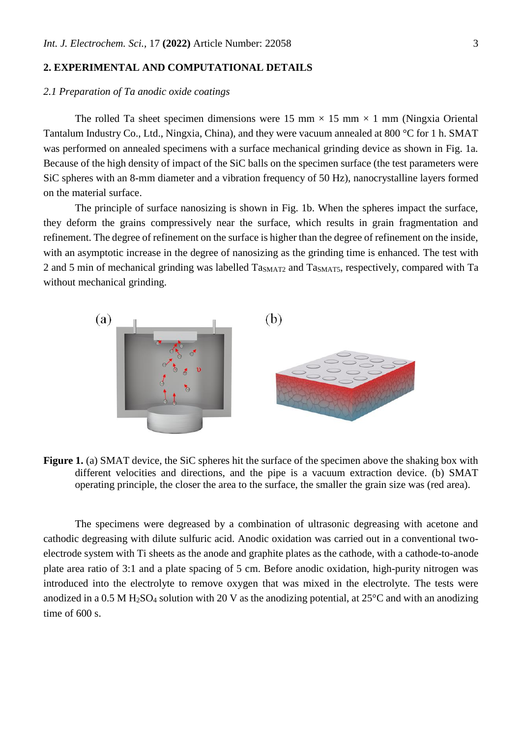## **2. EXPERIMENTAL AND COMPUTATIONAL DETAILS**

# *2.1 Preparation of Ta anodic oxide coatings*

The rolled Ta sheet specimen dimensions were 15 mm  $\times$  15 mm  $\times$  1 mm (Ningxia Oriental Tantalum Industry Co., Ltd., Ningxia, China), and they were vacuum annealed at 800 °C for 1 h. SMAT was performed on annealed specimens with a surface mechanical grinding device as shown in Fig. 1a. Because of the high density of impact of the SiC balls on the specimen surface (the test parameters were SiC spheres with an 8-mm diameter and a vibration frequency of 50 Hz), nanocrystalline layers formed on the material surface.

The principle of surface nanosizing is shown in Fig. 1b. When the spheres impact the surface, they deform the grains compressively near the surface, which results in grain fragmentation and refinement. The degree of refinement on the surface is higher than the degree of refinement on the inside, with an asymptotic increase in the degree of nanosizing as the grinding time is enhanced. The test with 2 and 5 min of mechanical grinding was labelled Ta<sub>SMAT2</sub> and Ta<sub>SMAT5</sub>, respectively, compared with Ta without mechanical grinding.



**Figure 1.** (a) SMAT device, the SiC spheres hit the surface of the specimen above the shaking box with different velocities and directions, and the pipe is a vacuum extraction device. (b) SMAT operating principle, the closer the area to the surface, the smaller the grain size was (red area).

The specimens were degreased by a combination of ultrasonic degreasing with acetone and cathodic degreasing with dilute sulfuric acid. Anodic oxidation was carried out in a conventional twoelectrode system with Ti sheets as the anode and graphite plates as the cathode, with a cathode-to-anode plate area ratio of 3:1 and a plate spacing of 5 cm. Before anodic oxidation, high-purity nitrogen was introduced into the electrolyte to remove oxygen that was mixed in the electrolyte. The tests were anodized in a 0.5 M H<sub>2</sub>SO<sub>4</sub> solution with 20 V as the anodizing potential, at 25<sup>o</sup>C and with an anodizing time of 600 s.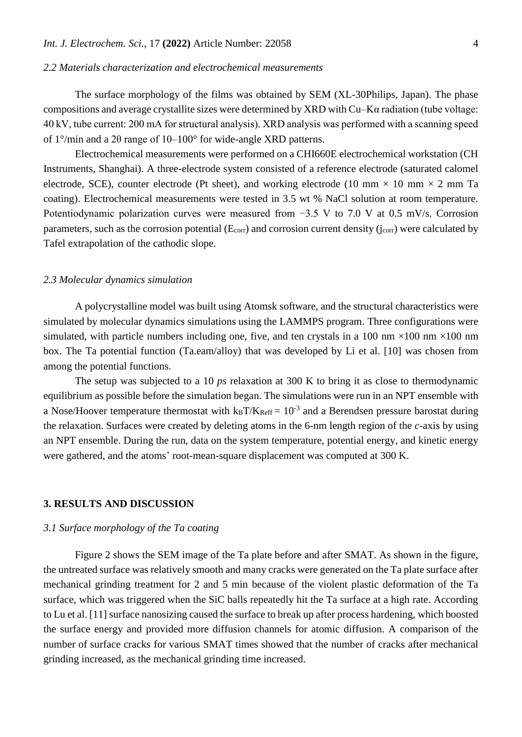## *2.2 Materials characterization and electrochemical measurements*

The surface morphology of the films was obtained by SEM (XL-30Philips, Japan). The phase compositions and average crystallite sizes were determined by XRD with Cu–Kα radiation (tube voltage: 40 kV, tube current: 200 mA for structural analysis). XRD analysis was performed with a scanning speed of 1°/min and a 2θ range of 10–100° for wide-angle XRD patterns.

Electrochemical measurements were performed on a CHI660E electrochemical workstation (CH Instruments, Shanghai). A three-electrode system consisted of a reference electrode (saturated calomel electrode, SCE), counter electrode (Pt sheet), and working electrode (10 mm  $\times$  10 mm  $\times$  2 mm Ta coating). Electrochemical measurements were tested in 3.5 wt % NaCl solution at room temperature. Potentiodynamic polarization curves were measured from −3.5 V to 7.0 V at 0.5 mV/s. Corrosion parameters, such as the corrosion potential  $(E_{\text{corr}})$  and corrosion current density ( $i_{\text{corr}}$ ) were calculated by Tafel extrapolation of the cathodic slope.

## *2.3 Molecular dynamics simulation*

A polycrystalline model was built using Atomsk software, and the structural characteristics were simulated by molecular dynamics simulations using the LAMMPS program. Three configurations were simulated, with particle numbers including one, five, and ten crystals in a 100 nm  $\times$ 100 nm  $\times$ 100 nm box. The Ta potential function (Ta.eam/alloy) that was developed by Li et al. [10] was chosen from among the potential functions.

The setup was subjected to a 10 *ps* relaxation at 300 K to bring it as close to thermodynamic equilibrium as possible before the simulation began. The simulations were run in an NPT ensemble with a Nose/Hoover temperature thermostat with  $k_B T/K_{Reff} = 10^{-3}$  and a Berendsen pressure barostat during the relaxation. Surfaces were created by deleting atoms in the 6-nm length region of the *c*-axis by using an NPT ensemble. During the run, data on the system temperature, potential energy, and kinetic energy were gathered, and the atoms' root-mean-square displacement was computed at 300 K.

## **3. RESULTS AND DISCUSSION**

#### *3.1 Surface morphology of the Ta coating*

Figure 2 shows the SEM image of the Ta plate before and after SMAT. As shown in the figure, the untreated surface was relatively smooth and many cracks were generated on the Ta plate surface after mechanical grinding treatment for 2 and 5 min because of the violent plastic deformation of the Ta surface, which was triggered when the SiC balls repeatedly hit the Ta surface at a high rate. According to Lu et al. [11] surface nanosizing caused the surface to break up after process hardening, which boosted the surface energy and provided more diffusion channels for atomic diffusion. A comparison of the number of surface cracks for various SMAT times showed that the number of cracks after mechanical grinding increased, as the mechanical grinding time increased.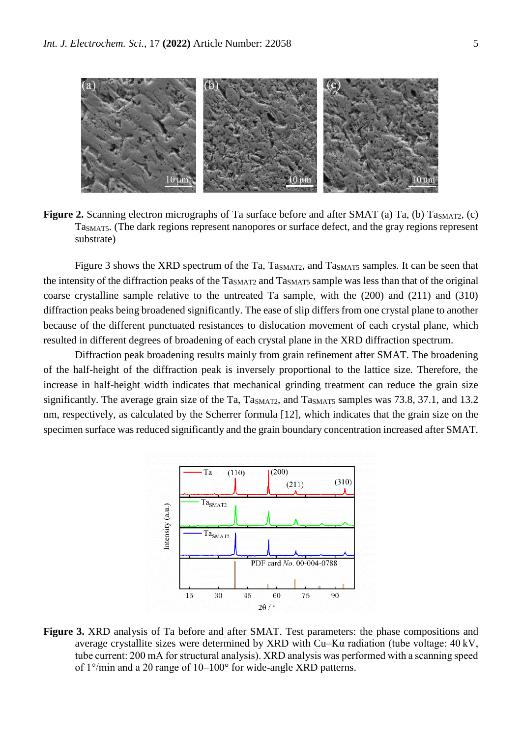

**Figure 2.** Scanning electron micrographs of Ta surface before and after SMAT (a) Ta, (b) Ta<sub>SMAT2</sub>, (c) TaSMAT5. (The dark regions represent nanopores or surface defect, and the gray regions represent substrate)

Figure 3 shows the XRD spectrum of the Ta, Ta<sub>SMAT2</sub>, and Ta<sub>SMAT5</sub> samples. It can be seen that the intensity of the diffraction peaks of the Ta<sub>SMAT2</sub> and Ta<sub>SMAT5</sub> sample was less than that of the original coarse crystalline sample relative to the untreated Ta sample, with the (200) and (211) and (310) diffraction peaks being broadened significantly. The ease of slip differs from one crystal plane to another because of the different punctuated resistances to dislocation movement of each crystal plane, which resulted in different degrees of broadening of each crystal plane in the XRD diffraction spectrum.

Diffraction peak broadening results mainly from grain refinement after SMAT. The broadening of the half-height of the diffraction peak is inversely proportional to the lattice size. Therefore, the increase in half-height width indicates that mechanical grinding treatment can reduce the grain size significantly. The average grain size of the Ta,  $T_{\text{as}_{\text{MAT2}}}$ , and  $T_{\text{as}_{\text{MAT5}}}$  samples was 73.8, 37.1, and 13.2 nm, respectively, as calculated by the Scherrer formula [12], which indicates that the grain size on the specimen surface was reduced significantly and the grain boundary concentration increased after SMAT.



**Figure 3.** XRD analysis of Ta before and after SMAT. Test parameters: the phase compositions and average crystallite sizes were determined by XRD with Cu–Kα radiation (tube voltage: 40 kV, tube current: 200 mA for structural analysis). XRD analysis was performed with a scanning speed of 1°/min and a 2θ range of 10–100° for wide-angle XRD patterns.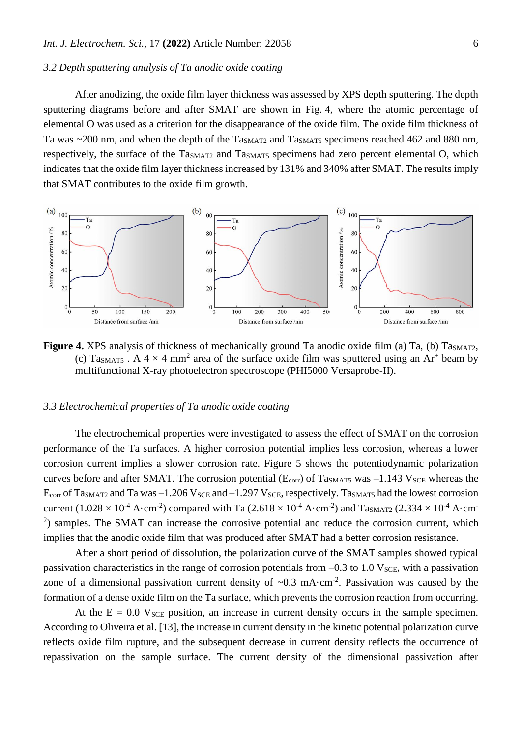## *3.2 Depth sputtering analysis of Ta anodic oxide coating*

After anodizing, the oxide film layer thickness was assessed by XPS depth sputtering. The depth sputtering diagrams before and after SMAT are shown in Fig. 4, where the atomic percentage of elemental O was used as a criterion for the disappearance of the oxide film. The oxide film thickness of Ta was  $\sim$ 200 nm, and when the depth of the Ta<sub>SMAT2</sub> and Ta<sub>SMAT5</sub> specimens reached 462 and 880 nm, respectively, the surface of the Ta<sub>SMAT2</sub> and Ta<sub>SMAT5</sub> specimens had zero percent elemental O, which indicates that the oxide film layer thickness increased by 131% and 340% after SMAT. The results imply that SMAT contributes to the oxide film growth.



Figure 4. XPS analysis of thickness of mechanically ground Ta anodic oxide film (a) Ta, (b) Ta<sub>SMAT2</sub>, (c) Ta<sub>SMAT5</sub>. A  $4 \times 4$  mm<sup>2</sup> area of the surface oxide film was sputtered using an Ar<sup>+</sup> beam by multifunctional X-ray photoelectron spectroscope (PHI5000 Versaprobe-II).

# *3.3 Electrochemical properties of Ta anodic oxide coating*

The electrochemical properties were investigated to assess the effect of SMAT on the corrosion performance of the Ta surfaces. A higher corrosion potential implies less corrosion, whereas a lower corrosion current implies a slower corrosion rate. Figure 5 shows the potentiodynamic polarization curves before and after SMAT. The corrosion potential ( $E_{\text{corr}}$ ) of Ta<sub>SMAT5</sub> was  $-1.143$  V<sub>SCE</sub> whereas the  $E_{\text{corr}}$  of Ta<sub>SMAT2</sub> and Ta was  $-1.206$  V<sub>SCE</sub> and  $-1.297$  V<sub>SCE</sub>, respectively. Ta<sub>SMAT5</sub> had the lowest corrosion current (1.028  $\times$  10<sup>-4</sup> A·cm<sup>-2</sup>) compared with Ta (2.618  $\times$  10<sup>-4</sup> A·cm<sup>-2</sup>) and Ta<sub>SMAT2</sub> (2.334  $\times$  10<sup>-4</sup> A·cm<sup>-</sup> <sup>2</sup>) samples. The SMAT can increase the corrosive potential and reduce the corrosion current, which implies that the anodic oxide film that was produced after SMAT had a better corrosion resistance.

After a short period of dissolution, the polarization curve of the SMAT samples showed typical passivation characteristics in the range of corrosion potentials from  $-0.3$  to 1.0 V<sub>SCE</sub>, with a passivation zone of a dimensional passivation current density of  $\sim 0.3$  mA $\cdot$ cm<sup>-2</sup>. Passivation was caused by the formation of a dense oxide film on the Ta surface, which prevents the corrosion reaction from occurring.

At the  $E = 0.0$  V<sub>SCE</sub> position, an increase in current density occurs in the sample specimen. According to Oliveira et al. [13], the increase in current density in the kinetic potential polarization curve reflects oxide film rupture, and the subsequent decrease in current density reflects the occurrence of repassivation on the sample surface. The current density of the dimensional passivation after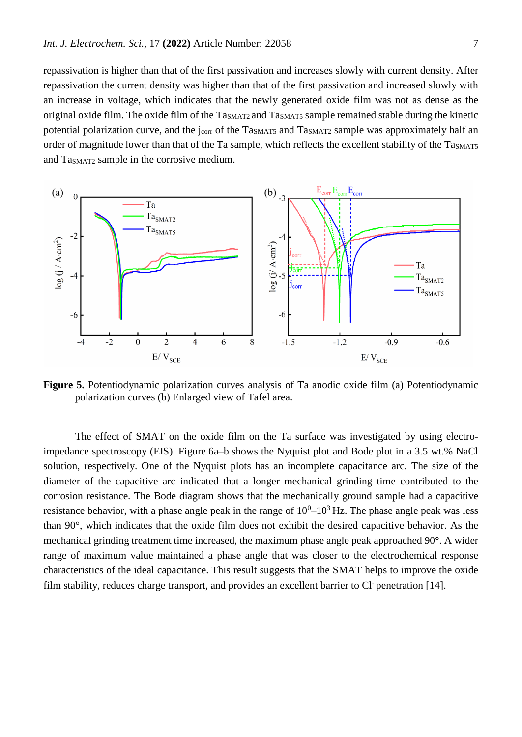repassivation is higher than that of the first passivation and increases slowly with current density. After repassivation the current density was higher than that of the first passivation and increased slowly with an increase in voltage, which indicates that the newly generated oxide film was not as dense as the original oxide film. The oxide film of the Ta<sub>SMAT2</sub> and Ta<sub>SMAT5</sub> sample remained stable during the kinetic potential polarization curve, and the j<sub>corr</sub> of the Ta<sub>SMAT5</sub> and Ta<sub>SMAT2</sub> sample was approximately half an order of magnitude lower than that of the Ta sample, which reflects the excellent stability of the Ta<sub>SMAT5</sub> and TaSMAT2 sample in the corrosive medium.



**Figure 5.** Potentiodynamic polarization curves analysis of Ta anodic oxide film (a) Potentiodynamic polarization curves (b) Enlarged view of Tafel area.

The effect of SMAT on the oxide film on the Ta surface was investigated by using electroimpedance spectroscopy (EIS). Figure 6a–b shows the Nyquist plot and Bode plot in a 3.5 wt.% NaCl solution, respectively. One of the Nyquist plots has an incomplete capacitance arc. The size of the diameter of the capacitive arc indicated that a longer mechanical grinding time contributed to the corrosion resistance. The Bode diagram shows that the mechanically ground sample had a capacitive resistance behavior, with a phase angle peak in the range of  $10^0$ – $10^3$  Hz. The phase angle peak was less than 90°, which indicates that the oxide film does not exhibit the desired capacitive behavior. As the mechanical grinding treatment time increased, the maximum phase angle peak approached 90°. A wider range of maximum value maintained a phase angle that was closer to the electrochemical response characteristics of the ideal capacitance. This result suggests that the SMAT helps to improve the oxide film stability, reduces charge transport, and provides an excellent barrier to Cl penetration [14].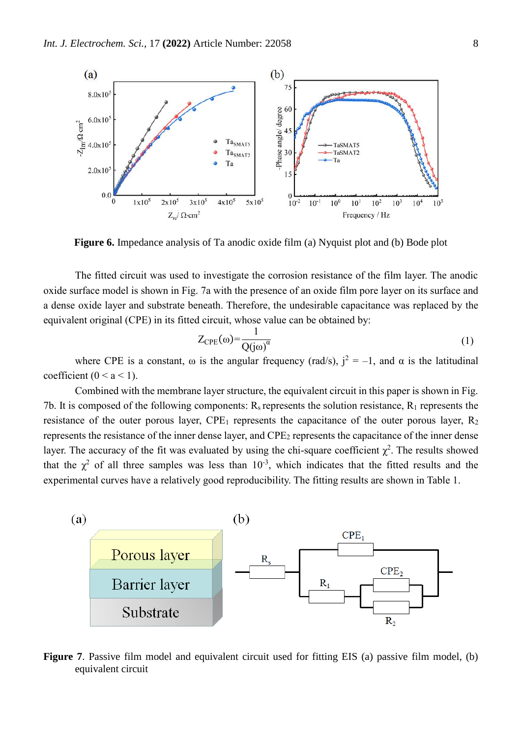

**Figure 6.** Impedance analysis of Ta anodic oxide film (a) Nyquist plot and (b) Bode plot

The fitted circuit was used to investigate the corrosion resistance of the film layer. The anodic oxide surface model is shown in Fig. 7a with the presence of an oxide film pore layer on its surface and a dense oxide layer and substrate beneath. Therefore, the undesirable capacitance was replaced by the equivalent original (CPE) in its fitted circuit, whose value can be obtained by:

$$
Z_{\rm CPE}(\omega) = \frac{1}{Q(j\omega)^{\alpha}}
$$
 (1)

where CPE is a constant,  $\omega$  is the angular frequency (rad/s),  $j^2 = -1$ , and  $\alpha$  is the latitudinal coefficient ( $0 < a < 1$ ).

Combined with the membrane layer structure, the equivalent circuit in this paper is shown in Fig. 7b. It is composed of the following components:  $R_s$  represents the solution resistance,  $R_1$  represents the resistance of the outer porous layer,  $\text{CPE}_1$  represents the capacitance of the outer porous layer,  $\text{R}_2$ represents the resistance of the inner dense layer, and CPE<sup>2</sup> represents the capacitance of the inner dense layer. The accuracy of the fit was evaluated by using the chi-square coefficient  $\chi^2$ . The results showed that the  $\chi^2$  of all three samples was less than 10<sup>-3</sup>, which indicates that the fitted results and the experimental curves have a relatively good reproducibility. The fitting results are shown in Table 1.



**Figure 7**. Passive film model and equivalent circuit used for fitting EIS (a) passive film model, (b) equivalent circuit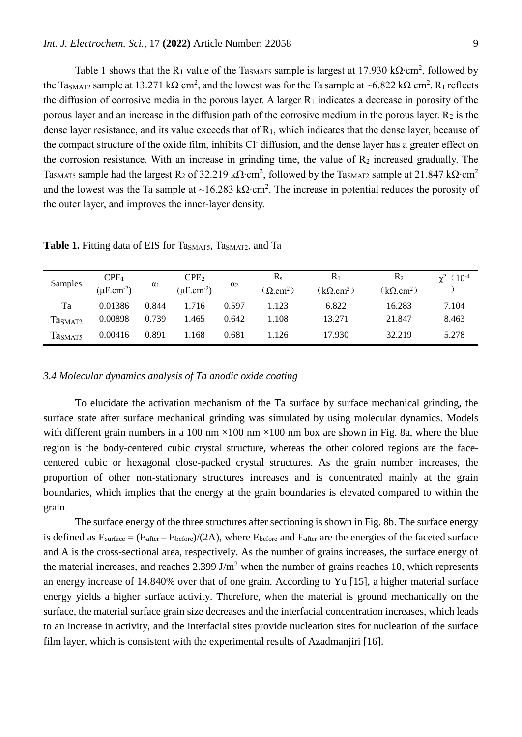Table 1 shows that the R<sub>1</sub> value of the Ta<sub>SMAT5</sub> sample is largest at 17.930 kΩ⋅cm<sup>2</sup>, followed by the Ta<sub>SMAT2</sub> sample at 13.271 kΩ∙cm<sup>2</sup>, and the lowest was for the Ta sample at ~6.822 kΩ∙cm<sup>2</sup>. R<sub>1</sub> reflects the diffusion of corrosive media in the porous layer. A larger  $R_1$  indicates a decrease in porosity of the porous layer and an increase in the diffusion path of the corrosive medium in the porous layer.  $R_2$  is the dense layer resistance, and its value exceeds that of  $R_1$ , which indicates that the dense layer, because of the compact structure of the oxide film, inhibits Cl diffusion, and the dense layer has a greater effect on the corrosion resistance. With an increase in grinding time, the value of  $R_2$  increased gradually. The TasmAT5 sample had the largest R2 of 32.219 kΩ∙cm<sup>2</sup>, followed by the TasmAT2 sample at 21.847 kΩ∙cm<sup>2</sup> and the lowest was the Ta sample at ~16.283 kΩ⋅cm<sup>2</sup>. The increase in potential reduces the porosity of the outer layer, and improves the inner-layer density.

| Samples             | CPE <sub>1</sub>            | $\alpha_1$ | CPE <sub>2</sub>            | $\alpha_2$ | $R_{s}$         | $R_1$            | $R_2$            | $\chi^2$ (10 <sup>-4</sup> ) |
|---------------------|-----------------------------|------------|-----------------------------|------------|-----------------|------------------|------------------|------------------------------|
|                     | $(\mu$ F.cm <sup>-2</sup> ) |            | $(\mu$ F.cm <sup>-2</sup> ) |            | $(\Omega.cm^2)$ | $(k\Omega.cm^2)$ | $(k\Omega.cm^2)$ |                              |
| Ta                  | 0.01386                     | 0.844      | 1.716                       | 0.597      | 1.123           | 6.822            | 16.283           | 7.104                        |
| Ta <sub>SMAT2</sub> | 0.00898                     | 0.739      | l.465                       | 0.642      | 1.108           | 13.271           | 21.847           | 8.463                        |
| Tasmats             | 0.00416                     | 0.891      | l.168                       | 0.681      | 1.126           | 17.930           | 32.219           | 5.278                        |

**Table 1.** Fitting data of EIS for Ta<sub>SMAT5</sub>, Ta<sub>SMAT2</sub>, and Ta

## *3.4 Molecular dynamics analysis of Ta anodic oxide coating*

To elucidate the activation mechanism of the Ta surface by surface mechanical grinding, the surface state after surface mechanical grinding was simulated by using molecular dynamics. Models with different grain numbers in a 100 nm  $\times$ 100 nm  $\times$ 100 nm box are shown in Fig. 8a, where the blue region is the body-centered cubic crystal structure, whereas the other colored regions are the facecentered cubic or hexagonal close-packed crystal structures. As the grain number increases, the proportion of other non-stationary structures increases and is concentrated mainly at the grain boundaries, which implies that the energy at the grain boundaries is elevated compared to within the grain.

The surface energy of the three structures after sectioning is shown in Fig. 8b. The surface energy is defined as  $E_{\text{surface}} = (E_{\text{after}} - E_{\text{before}})/(2A)$ , where  $E_{\text{before}}$  and  $E_{\text{after}}$  are the energies of the faceted surface and A is the cross-sectional area, respectively. As the number of grains increases, the surface energy of the material increases, and reaches  $2.399 \text{ J/m}^2$  when the number of grains reaches 10, which represents an energy increase of 14.840% over that of one grain. According to Yu [15], a higher material surface energy yields a higher surface activity. Therefore, when the material is ground mechanically on the surface, the material surface grain size decreases and the interfacial concentration increases, which leads to an increase in activity, and the interfacial sites provide nucleation sites for nucleation of the surface film layer, which is consistent with the experimental results of Azadmanjiri [16].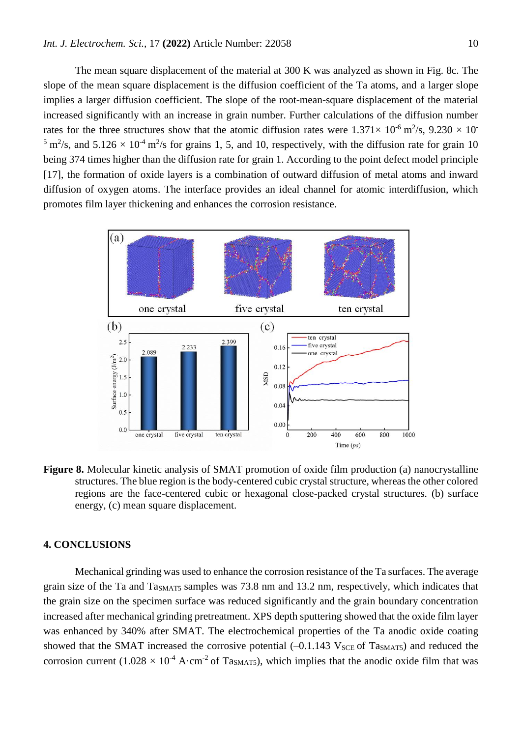The mean square displacement of the material at 300 K was analyzed as shown in Fig. 8c. The slope of the mean square displacement is the diffusion coefficient of the Ta atoms, and a larger slope implies a larger diffusion coefficient. The slope of the root-mean-square displacement of the material increased significantly with an increase in grain number. Further calculations of the diffusion number rates for the three structures show that the atomic diffusion rates were  $1.371 \times 10^{-6}$  m<sup>2</sup>/s,  $9.230 \times 10^{-6}$ <sup>5</sup> m<sup>2</sup>/s, and 5.126  $\times$  10<sup>-4</sup> m<sup>2</sup>/s for grains 1, 5, and 10, respectively, with the diffusion rate for grain 10 being 374 times higher than the diffusion rate for grain 1. According to the point defect model principle [17], the formation of oxide layers is a combination of outward diffusion of metal atoms and inward diffusion of oxygen atoms. The interface provides an ideal channel for atomic interdiffusion, which promotes film layer thickening and enhances the corrosion resistance.



**Figure 8.** Molecular kinetic analysis of SMAT promotion of oxide film production (a) nanocrystalline structures. The blue region is the body-centered cubic crystal structure, whereas the other colored regions are the face-centered cubic or hexagonal close-packed crystal structures. (b) surface energy, (c) mean square displacement.

# **4. CONCLUSIONS**

Mechanical grinding was used to enhance the corrosion resistance of the Ta surfaces. The average grain size of the Ta and TaSMAT5 samples was 73.8 nm and 13.2 nm, respectively, which indicates that the grain size on the specimen surface was reduced significantly and the grain boundary concentration increased after mechanical grinding pretreatment. XPS depth sputtering showed that the oxide film layer was enhanced by 340% after SMAT. The electrochemical properties of the Ta anodic oxide coating showed that the SMAT increased the corrosive potential  $(-0.1.143 \text{ V}_{SCE} \text{ of } T_{\text{4SMAT5}})$  and reduced the corrosion current (1.028  $\times$  10<sup>-4</sup> A·cm<sup>-2</sup> of Ta<sub>SMAT5</sub>), which implies that the anodic oxide film that was